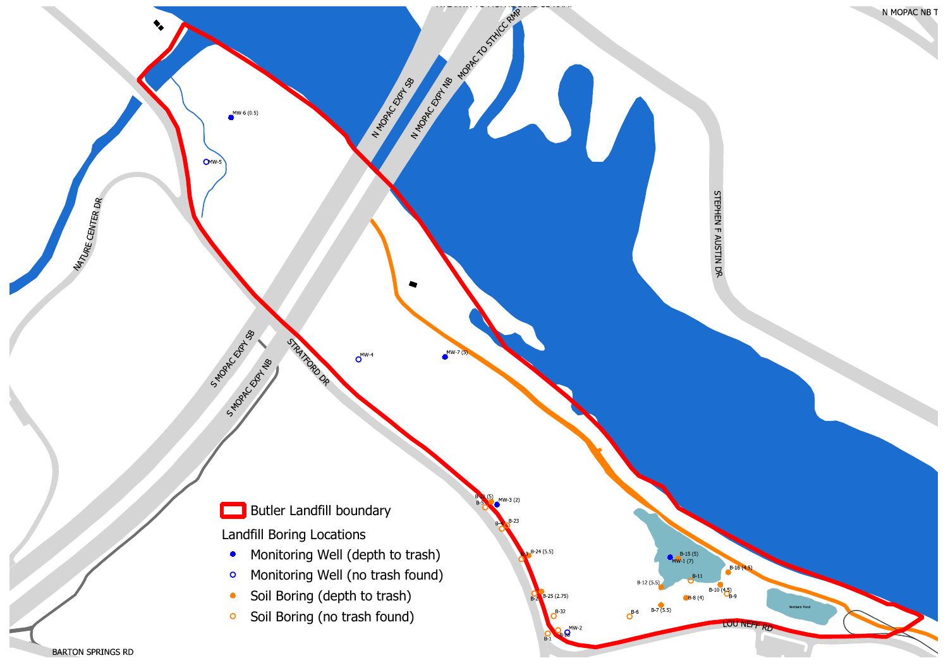

**BARTON SPRINGS RD**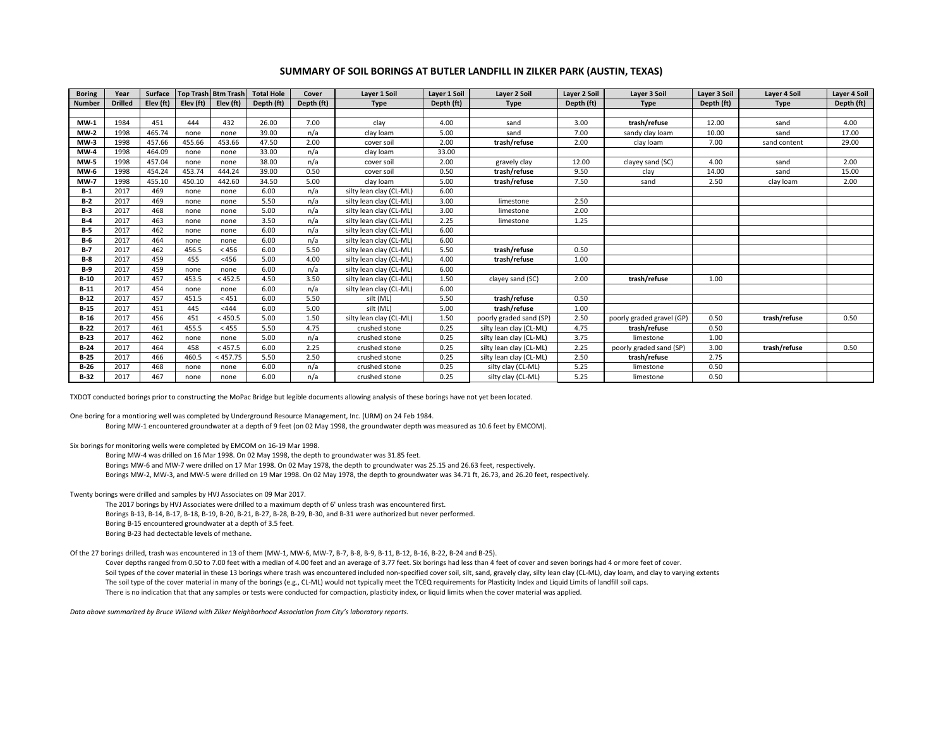## **SUMMARY OF SOIL BORINGS AT BUTLER LANDFILL IN ZILKER PARK (AUSTIN, TEXAS)**

| <b>Boring</b> | Year           | Surface   |           | Top Trash Btm Trash | <b>Total Hole</b> | Cover      | Layer 1 Soil            | Layer 1 Soil | Layer 2 Soil            | Layer 2 Soil | Layer 3 Soil              | Layer 3 Soil | <b>Layer 4 Soil</b> | <b>Layer 4 Soil</b> |
|---------------|----------------|-----------|-----------|---------------------|-------------------|------------|-------------------------|--------------|-------------------------|--------------|---------------------------|--------------|---------------------|---------------------|
| <b>Number</b> | <b>Drilled</b> | Elev (ft) | Elev (ft) | Elev (ft)           | Depth (ft)        | Depth (ft) | <b>Type</b>             | Depth (ft)   | <b>Type</b>             | Depth (ft)   | <b>Type</b>               | Depth (ft)   | <b>Type</b>         | Depth (ft)          |
|               |                |           |           |                     |                   |            |                         |              |                         |              |                           |              |                     |                     |
| $MW-1$        | 1984           | 451       | 444       | 432                 | 26.00             | 7.00       | clay                    | 4.00         | sand                    | 3.00         | trash/refuse              | 12.00        | sand                | 4.00                |
| $MW-2$        | 1998           | 465.74    | none      | none                | 39.00             | n/a        | clay loam               | 5.00         | sand                    | 7.00         | sandy clay loam           | 10.00        | sand                | 17.00               |
| $MW-3$        | 1998           | 457.66    | 455.66    | 453.66              | 47.50             | 2.00       | cover soil              | 2.00         | trash/refuse            | 2.00         | clay loam                 | 7.00         | sand content        | 29.00               |
| $MW-4$        | 1998           | 464.09    | none      | none                | 33.00             | n/a        | clay loam               | 33.00        |                         |              |                           |              |                     |                     |
| $MW-5$        | 1998           | 457.04    | none      | none                | 38.00             | n/a        | cover soil              | 2.00         | gravely clay            | 12.00        | clayey sand (SC)          | 4.00         | sand                | 2.00                |
| <b>MW-6</b>   | 1998           | 454.24    | 453.74    | 444.24              | 39.00             | 0.50       | cover soil              | 0.50         | trash/refuse            | 9.50         | clay                      | 14.00        | sand                | 15.00               |
| $MW-7$        | 1998           | 455.10    | 450.10    | 442.60              | 34.50             | 5.00       | clay loam               | 5.00         | trash/refuse            | 7.50         | sand                      | 2.50         | clay loam           | 2.00                |
| $B-1$         | 2017           | 469       | none      | none                | 6.00              | n/a        | silty lean clay (CL-ML) | 6.00         |                         |              |                           |              |                     |                     |
| $B-2$         | 2017           | 469       | none      | none                | 5.50              | n/a        | silty lean clay (CL-ML) | 3.00         | limestone               | 2.50         |                           |              |                     |                     |
| $B-3$         | 2017           | 468       | none      | none                | 5.00              | n/a        | silty lean clay (CL-ML) | 3.00         | limestone               | 2.00         |                           |              |                     |                     |
| B-4           | 2017           | 463       | none      | none                | 3.50              | n/a        | silty lean clay (CL-ML) | 2.25         | limestone               | 1.25         |                           |              |                     |                     |
| $B-5$         | 2017           | 462       | none      | none                | 6.00              | n/a        | silty lean clay (CL-ML) | 6.00         |                         |              |                           |              |                     |                     |
| $B-6$         | 2017           | 464       | none      | none                | 6.00              | n/a        | silty lean clay (CL-ML) | 6.00         |                         |              |                           |              |                     |                     |
| $B-7$         | 2017           | 462       | 456.5     | < 456               | 6.00              | 5.50       | silty lean clay (CL-ML) | 5.50         | trash/refuse            | 0.50         |                           |              |                     |                     |
| $B-8$         | 2017           | 459       | 455       | < 456               | 5.00              | 4.00       | silty lean clay (CL-ML) | 4.00         | trash/refuse            | 1.00         |                           |              |                     |                     |
| $B-9$         | 2017           | 459       | none      | none                | 6.00              | n/a        | silty lean clay (CL-ML) | 6.00         |                         |              |                           |              |                     |                     |
| $B-10$        | 2017           | 457       | 453.5     | < 452.5             | 4.50              | 3.50       | silty lean clay (CL-ML) | 1.50         | clayey sand (SC)        | 2.00         | trash/refuse              | 1.00         |                     |                     |
| $B-11$        | 2017           | 454       | none      | none                | 6.00              | n/a        | silty lean clay (CL-ML) | 6.00         |                         |              |                           |              |                     |                     |
| $B-12$        | 2017           | 457       | 451.5     | < 451               | 6.00              | 5.50       | silt (ML)               | 5.50         | trash/refuse            | 0.50         |                           |              |                     |                     |
| $B-15$        | 2017           | 451       | 445       | < 444               | 6.00              | 5.00       | silt (ML)               | 5.00         | trash/refuse            | 1.00         |                           |              |                     |                     |
| $B-16$        | 2017           | 456       | 451       | < 450.5             | 5.00              | 1.50       | silty lean clay (CL-ML) | 1.50         | poorly graded sand (SP) | 2.50         | poorly graded gravel (GP) | 0.50         | trash/refuse        | 0.50                |
| $B-22$        | 2017           | 461       | 455.5     | < 455               | 5.50              | 4.75       | crushed stone           | 0.25         | silty lean clay (CL-ML) | 4.75         | trash/refuse              | 0.50         |                     |                     |
| $B-23$        | 2017           | 462       | none      | none                | 5.00              | n/a        | crushed stone           | 0.25         | silty lean clay (CL-ML) | 3.75         | limestone                 | 1.00         |                     |                     |
| $B-24$        | 2017           | 464       | 458       | < 457.5             | 6.00              | 2.25       | crushed stone           | 0.25         | silty lean clay (CL-ML) | 2.25         | poorly graded sand (SP)   | 3.00         | trash/refuse        | 0.50                |
| $B-25$        | 2017           | 466       | 460.5     | < 457.75            | 5.50              | 2.50       | crushed stone           | 0.25         | silty lean clay (CL-ML) | 2.50         | trash/refuse              | 2.75         |                     |                     |
| $B-26$        | 2017           | 468       | none      | none                | 6.00              | n/a        | crushed stone           | 0.25         | silty clay (CL-ML)      | 5.25         | limestone                 | 0.50         |                     |                     |
| $B-32$        | 2017           | 467       | none      | none                | 6.00              | n/a        | crushed stone           | 0.25         | silty clay (CL-ML)      | 5.25         | limestone                 | 0.50         |                     |                     |

TXDOT conducted borings prior to constructing the MoPac Bridge but legible documents allowing analysis of these borings have not yet been located.

One boring for <sup>a</sup> montioring well was completed by Underground Resource Management, Inc. (URM) on 24 Feb 1984. Boring MW‐1 encountered groundwater at <sup>a</sup> depth of 9 feet (on 02 May 1998, the groundwater depth was measured as 10.6 feet by EMCOM).

Six borings for monitoring wells were completed by EMCOM on 16‐19 Mar 1998.

Boring MW‐4 was drilled on 16 Mar 1998. On 02 May 1998, the depth to groundwater was 31.85 feet.

Borings MW‐6 and MW‐7 were drilled on 17 Mar 1998. On 02 May 1978, the depth to groundwater was 25.15 and 26.63 feet, respectively.

Borings MW‐2, MW‐3, and MW‐5 were drilled on 19 Mar 1998. On 02 May 1978, the depth to groundwater was 34.71 ft, 26.73, and 26.20 feet, respectively.

Twenty borings were drilled and samples by HVJ Associates on 09 Mar 2017.

The 2017 borings by HVJ Associates were drilled to <sup>a</sup> maximum depth of 6' unless trash was encountered first. Borings B‐13, B‐14, B‐17, B‐18, B‐19, B‐20, B‐21, B‐27, B‐28, B‐29, B‐30, and B‐31 were authorized but never performed. Boring B‐15 encountered groundwater at <sup>a</sup> depth of 3.5 feet. Boring B‐23 had dectectable levels of methane.

Of the 27 borings drilled, trash was encountered in 13 of them (MW‐1, MW‐6, MW‐7, B‐7, B‐8, B‐9, B‐11, B‐12, B‐16, B‐22, B‐24 and B‐25).

Cover depths ranged from 0.50 to 7.00 feet with <sup>a</sup> median of 4.00 feet and an average of 3.77 feet. Six borings had less than 4 feet of cover and seven borings had 4 or more feet of cover. Soil types of the cover material in these 13 borings where trash was encountered included non‐specified cover soil, silt, sand, gravely clay, silty lean clay (CL‐ML), clay loam, and clay to varying extents The soil type of the cover material in many of the borings (e.g., CL‐ML) would not typically meet the TCEQ requirements for Plasticity Index and Liquid Limits of landfill soil caps. There is no indication that that any samples or tests were conducted for compaction, plasticity index, or liquid limits when the cover material was applied.

*Data above summarized by Bruce Wiland with Zilker Neighborhood Association from City's laboratory reports.*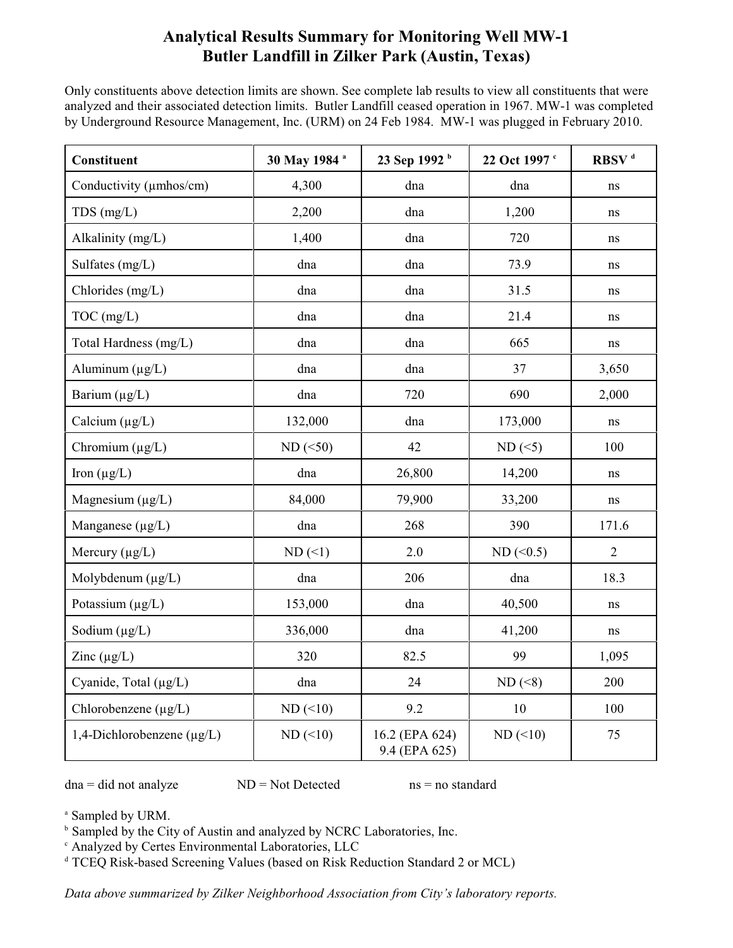## **Analytical Results Summary for Monitoring Well MW-1 Butler Landfill in Zilker Park (Austin, Texas)**

Only constituents above detection limits are shown. See complete lab results to view all constituents that were analyzed and their associated detection limits. Butler Landfill ceased operation in 1967. MW-1 was completed by Underground Resource Management, Inc. (URM) on 24 Feb 1984. MW-1 was plugged in February 2010.

| <b>Constituent</b>         | 30 May 1984 a | 23 Sep 1992 <sup>b</sup>        | 22 Oct 1997 c | RBSV <sup>d</sup> |  |
|----------------------------|---------------|---------------------------------|---------------|-------------------|--|
| Conductivity (umhos/cm)    | 4,300         | dna                             | dna           | ns                |  |
| TDS (mg/L)                 | 2,200         | dna                             | 1,200         | $\rm ns$          |  |
| Alkalinity (mg/L)          | 1,400         | dna                             | 720           | ns                |  |
| Sulfates (mg/L)            | dna           | dna                             | 73.9          | ns                |  |
| Chlorides (mg/L)           | dna           | dna                             | 31.5          | $\, \! ns$        |  |
| TOC (mg/L)                 | dna           | dna                             | 21.4          | ns                |  |
| Total Hardness (mg/L)      | dna           | dna                             | 665           | $\, \rm ns$       |  |
| Aluminum $(\mu g/L)$       | dna           | dna                             | 37            | 3,650             |  |
| Barium $(\mu g/L)$         | dna           | 720                             | 690           | 2,000             |  |
| Calcium $(\mu g/L)$        | 132,000       | dna                             | 173,000       | $\rm ns$          |  |
| Chromium $(\mu g/L)$       | $ND$ (<50)    | 42                              | $ND$ (<5)     | 100               |  |
| Iron $(\mu g/L)$           | dna           | 26,800                          | 14,200        | ns                |  |
| Magnesium $(\mu g/L)$      | 84,000        | 79,900                          | 33,200        | ns                |  |
| Manganese (µg/L)           | dna           | 268                             |               | 171.6             |  |
| Mercury $(\mu g/L)$        | $ND$ (<1)     | 2.0                             | $ND$ (<0.5)   | $\overline{2}$    |  |
| Molybdenum $(\mu g/L)$     | dna           | 206                             | dna           | 18.3              |  |
| Potassium $(\mu g/L)$      | 153,000       | dna                             | 40,500        | $\, \! ns$        |  |
| Sodium $(\mu g/L)$         | 336,000       | dna                             | 41,200        | ns                |  |
| Zinc $(\mu g/L)$           | 320           | 82.5                            | 99            | 1,095             |  |
| Cyanide, Total (µg/L)      | dna           | 24                              | $ND (\leq 8)$ | 200               |  |
| Chlorobenzene $(\mu g/L)$  | $ND$ (<10)    | 9.2                             | 10            | 100               |  |
| 1,4-Dichlorobenzene (µg/L) | $ND$ (<10)    | 16.2 (EPA 624)<br>9.4 (EPA 625) | $ND$ (<10)    | 75                |  |

 $dna = did not analyze \tND = Not detected \tns = no standard$ 

<sup>a</sup> Sampled by URM.

<sup>b</sup> Sampled by the City of Austin and analyzed by NCRC Laboratories, Inc.

<sup>c</sup> Analyzed by Certes Environmental Laboratories, LLC

<sup>d</sup> TCEQ Risk-based Screening Values (based on Risk Reduction Standard 2 or MCL)

*Data above summarized by Zilker Neighborhood Association from City's laboratory reports.*